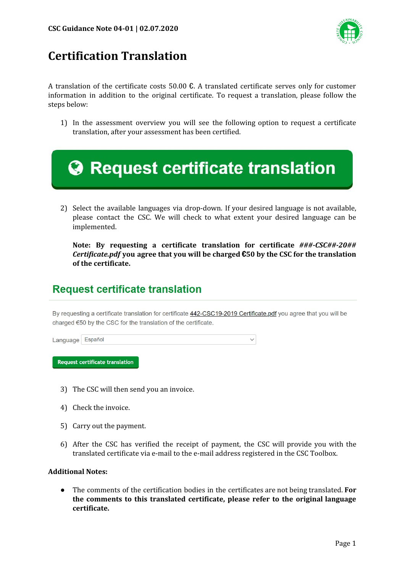

## **Certification Translation**

A translation of the certificate costs 50.00  $\epsilon$ . A translated certificate serves only for customer information in addition to the original certificate. To request a translation, please follow the steps below:

1) In the assessment overview you will see the following option to request a certificate translation, after your assessment has been certified.

| <b>A</b> Request certificate translation                                                  |
|-------------------------------------------------------------------------------------------|
| 2) Coloct the available languages via drep down If your desired language is not available |

2) Select the available languages via drop-down. If your desired language is not available, please contact the CSC. We will check to what extent your desired language can be implemented.

**Note: By requesting a certificate translation for certificate** *###-CSC##-20## Certificate.pdf* **you agree that you will be charged** €**50 by the CSC for the translation of the certificate.**

## **Request certificate translation**

By requesting a certificate translation for certificate 442-CSC19-2019 Certificate.pdf you agree that you will be charged €50 by the CSC for the translation of the certificate.

| Language Español |  |  |
|------------------|--|--|
|------------------|--|--|

**Request certificate translation** 

- 3) The CSC will then send you an invoice.
- 4) Check the invoice.
- 5) Carry out the payment.
- 6) After the CSC has verified the receipt of payment, the CSC will provide you with the translated certificate via e-mail to the e-mail address registered in the CSC Toolbox.

## **Additional Notes:**

● The comments of the certification bodies in the certificates are not being translated. **For the comments to this translated certificate, please refer to the original language certificate.**